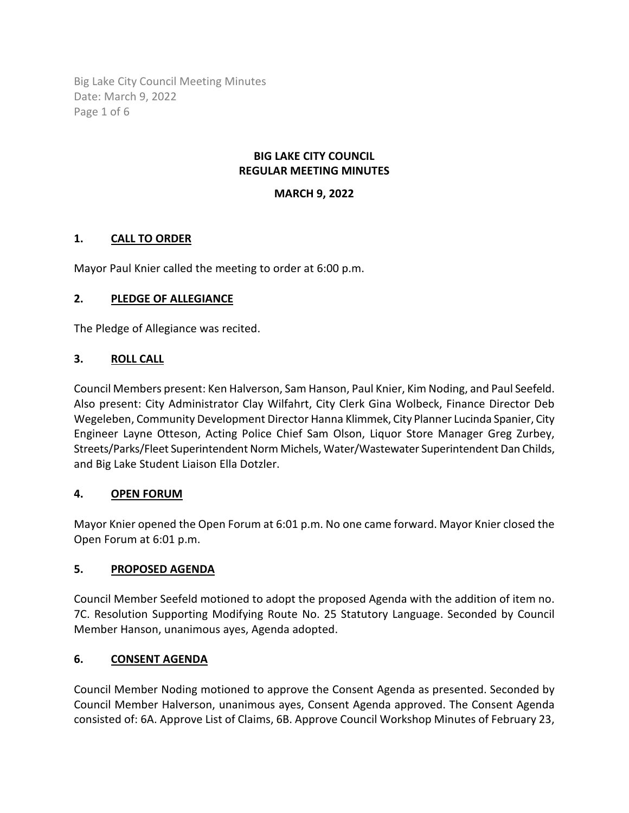Big Lake City Council Meeting Minutes Date: March 9, 2022 Page 1 of 6

#### **BIG LAKE CITY COUNCIL REGULAR MEETING MINUTES**

#### **MARCH 9, 2022**

#### **1. CALL TO ORDER**

Mayor Paul Knier called the meeting to order at 6:00 p.m.

#### **2. PLEDGE OF ALLEGIANCE**

The Pledge of Allegiance was recited.

#### **3. ROLL CALL**

Council Members present: Ken Halverson, Sam Hanson, Paul Knier, Kim Noding, and Paul Seefeld. Also present: City Administrator Clay Wilfahrt, City Clerk Gina Wolbeck, Finance Director Deb Wegeleben, Community Development Director Hanna Klimmek, City Planner Lucinda Spanier, City Engineer Layne Otteson, Acting Police Chief Sam Olson, Liquor Store Manager Greg Zurbey, Streets/Parks/Fleet Superintendent Norm Michels, Water/Wastewater Superintendent Dan Childs, and Big Lake Student Liaison Ella Dotzler.

#### **4. OPEN FORUM**

Mayor Knier opened the Open Forum at 6:01 p.m. No one came forward. Mayor Knier closed the Open Forum at 6:01 p.m.

#### **5. PROPOSED AGENDA**

Council Member Seefeld motioned to adopt the proposed Agenda with the addition of item no. 7C. Resolution Supporting Modifying Route No. 25 Statutory Language. Seconded by Council Member Hanson, unanimous ayes, Agenda adopted.

## **6. CONSENT AGENDA**

Council Member Noding motioned to approve the Consent Agenda as presented. Seconded by Council Member Halverson, unanimous ayes, Consent Agenda approved. The Consent Agenda consisted of: 6A. Approve List of Claims, 6B. Approve Council Workshop Minutes of February 23,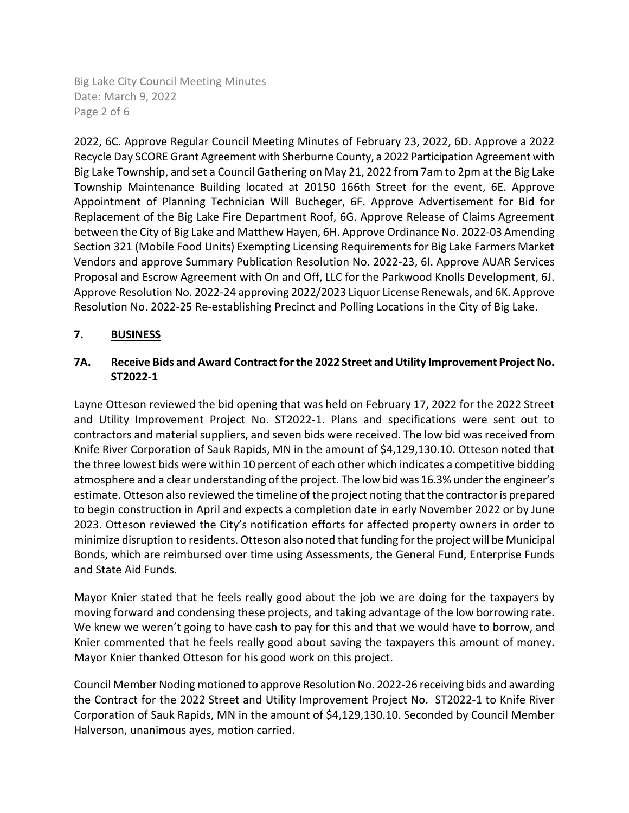Big Lake City Council Meeting Minutes Date: March 9, 2022 Page 2 of 6

2022, 6C. Approve Regular Council Meeting Minutes of February 23, 2022, 6D. Approve a 2022 Recycle Day SCORE Grant Agreement with Sherburne County, a 2022 Participation Agreement with Big Lake Township, and set a Council Gathering on May 21, 2022 from 7am to 2pm at the Big Lake Township Maintenance Building located at 20150 166th Street for the event, 6E. Approve Appointment of Planning Technician Will Bucheger, 6F. Approve Advertisement for Bid for Replacement of the Big Lake Fire Department Roof, 6G. Approve Release of Claims Agreement between the City of Big Lake and Matthew Hayen, 6H. Approve Ordinance No. 2022-03 Amending Section 321 (Mobile Food Units) Exempting Licensing Requirements for Big Lake Farmers Market Vendors and approve Summary Publication Resolution No. 2022-23, 6I. Approve AUAR Services Proposal and Escrow Agreement with On and Off, LLC for the Parkwood Knolls Development, 6J. Approve Resolution No. 2022-24 approving 2022/2023 Liquor License Renewals, and 6K. Approve Resolution No. 2022-25 Re-establishing Precinct and Polling Locations in the City of Big Lake.

## **7. BUSINESS**

## **7A. Receive Bids and Award Contract for the 2022 Street and Utility Improvement Project No. ST2022-1**

Layne Otteson reviewed the bid opening that was held on February 17, 2022 for the 2022 Street and Utility Improvement Project No. ST2022-1. Plans and specifications were sent out to contractors and material suppliers, and seven bids were received. The low bid was received from Knife River Corporation of Sauk Rapids, MN in the amount of \$4,129,130.10. Otteson noted that the three lowest bids were within 10 percent of each other which indicates a competitive bidding atmosphere and a clear understanding of the project. The low bid was 16.3% under the engineer's estimate. Otteson also reviewed the timeline of the project noting that the contractor is prepared to begin construction in April and expects a completion date in early November 2022 or by June 2023. Otteson reviewed the City's notification efforts for affected property owners in order to minimize disruption to residents. Otteson also noted that funding for the project will be Municipal Bonds, which are reimbursed over time using Assessments, the General Fund, Enterprise Funds and State Aid Funds.

Mayor Knier stated that he feels really good about the job we are doing for the taxpayers by moving forward and condensing these projects, and taking advantage of the low borrowing rate. We knew we weren't going to have cash to pay for this and that we would have to borrow, and Knier commented that he feels really good about saving the taxpayers this amount of money. Mayor Knier thanked Otteson for his good work on this project.

Council Member Noding motioned to approve Resolution No. 2022-26 receiving bids and awarding the Contract for the 2022 Street and Utility Improvement Project No. ST2022-1 to Knife River Corporation of Sauk Rapids, MN in the amount of \$4,129,130.10. Seconded by Council Member Halverson, unanimous ayes, motion carried.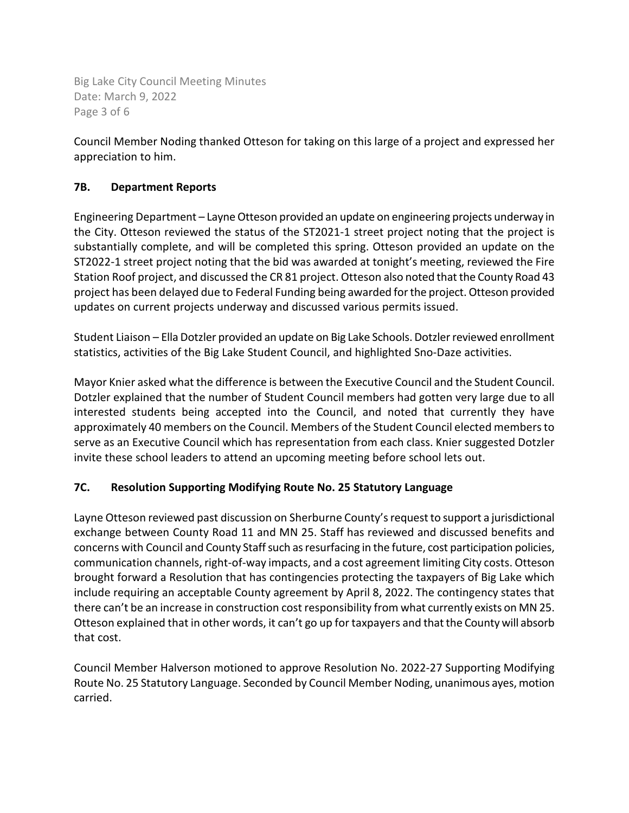Big Lake City Council Meeting Minutes Date: March 9, 2022 Page 3 of 6

Council Member Noding thanked Otteson for taking on this large of a project and expressed her appreciation to him.

# **7B. Department Reports**

Engineering Department – Layne Otteson provided an update on engineering projects underway in the City. Otteson reviewed the status of the ST2021-1 street project noting that the project is substantially complete, and will be completed this spring. Otteson provided an update on the ST2022-1 street project noting that the bid was awarded at tonight's meeting, reviewed the Fire Station Roof project, and discussed the CR 81 project. Otteson also noted that the County Road 43 project has been delayed due to Federal Funding being awarded for the project. Otteson provided updates on current projects underway and discussed various permits issued.

Student Liaison – Ella Dotzler provided an update on Big Lake Schools. Dotzler reviewed enrollment statistics, activities of the Big Lake Student Council, and highlighted Sno-Daze activities.

Mayor Knier asked what the difference is between the Executive Council and the Student Council. Dotzler explained that the number of Student Council members had gotten very large due to all interested students being accepted into the Council, and noted that currently they have approximately 40 members on the Council. Members of the Student Council elected members to serve as an Executive Council which has representation from each class. Knier suggested Dotzler invite these school leaders to attend an upcoming meeting before school lets out.

## **7C. Resolution Supporting Modifying Route No. 25 Statutory Language**

Layne Otteson reviewed past discussion on Sherburne County's request to support a jurisdictional exchange between County Road 11 and MN 25. Staff has reviewed and discussed benefits and concerns with Council and County Staff such as resurfacing in the future, cost participation policies, communication channels, right-of-way impacts, and a cost agreement limiting City costs. Otteson brought forward a Resolution that has contingencies protecting the taxpayers of Big Lake which include requiring an acceptable County agreement by April 8, 2022. The contingency states that there can't be an increase in construction cost responsibility from what currently exists on MN 25. Otteson explained that in other words, it can't go up for taxpayers and that the County will absorb that cost.

Council Member Halverson motioned to approve Resolution No. 2022-27 Supporting Modifying Route No. 25 Statutory Language. Seconded by Council Member Noding, unanimous ayes, motion carried.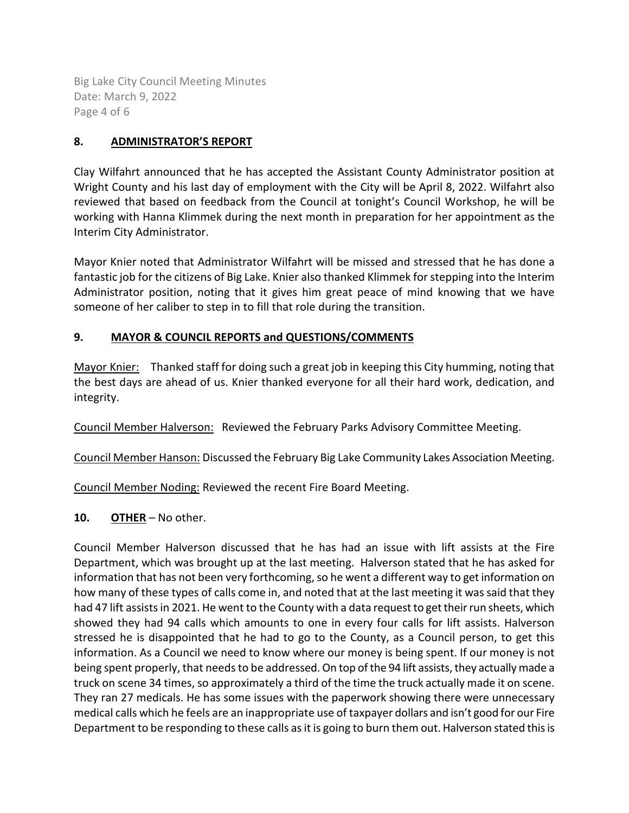Big Lake City Council Meeting Minutes Date: March 9, 2022 Page 4 of 6

# **8. ADMINISTRATOR'S REPORT**

Clay Wilfahrt announced that he has accepted the Assistant County Administrator position at Wright County and his last day of employment with the City will be April 8, 2022. Wilfahrt also reviewed that based on feedback from the Council at tonight's Council Workshop, he will be working with Hanna Klimmek during the next month in preparation for her appointment as the Interim City Administrator.

Mayor Knier noted that Administrator Wilfahrt will be missed and stressed that he has done a fantastic job for the citizens of Big Lake. Knier also thanked Klimmek for stepping into the Interim Administrator position, noting that it gives him great peace of mind knowing that we have someone of her caliber to step in to fill that role during the transition.

## **9. MAYOR & COUNCIL REPORTS and QUESTIONS/COMMENTS**

Mayor Knier: Thanked staff for doing such a great job in keeping this City humming, noting that the best days are ahead of us. Knier thanked everyone for all their hard work, dedication, and integrity.

Council Member Halverson: Reviewed the February Parks Advisory Committee Meeting.

Council Member Hanson: Discussed the February Big Lake Community Lakes Association Meeting.

Council Member Noding: Reviewed the recent Fire Board Meeting.

## **10. OTHER** – No other.

Council Member Halverson discussed that he has had an issue with lift assists at the Fire Department, which was brought up at the last meeting. Halverson stated that he has asked for information that has not been very forthcoming, so he went a different way to get information on how many of these types of calls come in, and noted that at the last meeting it was said that they had 47 lift assists in 2021. He went to the County with a data request to get their run sheets, which showed they had 94 calls which amounts to one in every four calls for lift assists. Halverson stressed he is disappointed that he had to go to the County, as a Council person, to get this information. As a Council we need to know where our money is being spent. If our money is not being spent properly, that needs to be addressed. On top of the 94 lift assists, they actually made a truck on scene 34 times, so approximately a third of the time the truck actually made it on scene. They ran 27 medicals. He has some issues with the paperwork showing there were unnecessary medical calls which he feels are an inappropriate use of taxpayer dollars and isn't good for our Fire Department to be responding to these calls as it is going to burn them out. Halverson stated this is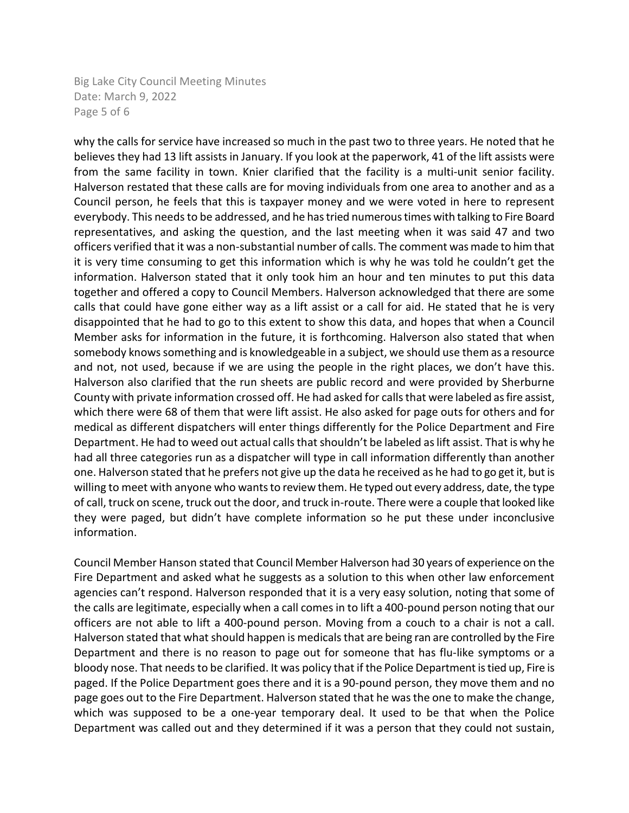Big Lake City Council Meeting Minutes Date: March 9, 2022 Page 5 of 6

why the calls for service have increased so much in the past two to three years. He noted that he believes they had 13 lift assists in January. If you look at the paperwork, 41 of the lift assists were from the same facility in town. Knier clarified that the facility is a multi-unit senior facility. Halverson restated that these calls are for moving individuals from one area to another and as a Council person, he feels that this is taxpayer money and we were voted in here to represent everybody. This needs to be addressed, and he has tried numerous times with talking to Fire Board representatives, and asking the question, and the last meeting when it was said 47 and two officers verified that it was a non-substantial number of calls. The comment was made to him that it is very time consuming to get this information which is why he was told he couldn't get the information. Halverson stated that it only took him an hour and ten minutes to put this data together and offered a copy to Council Members. Halverson acknowledged that there are some calls that could have gone either way as a lift assist or a call for aid. He stated that he is very disappointed that he had to go to this extent to show this data, and hopes that when a Council Member asks for information in the future, it is forthcoming. Halverson also stated that when somebody knows something and is knowledgeable in a subject, we should use them as a resource and not, not used, because if we are using the people in the right places, we don't have this. Halverson also clarified that the run sheets are public record and were provided by Sherburne County with private information crossed off. He had asked for calls that were labeled as fire assist, which there were 68 of them that were lift assist. He also asked for page outs for others and for medical as different dispatchers will enter things differently for the Police Department and Fire Department. He had to weed out actual calls that shouldn't be labeled as lift assist. That is why he had all three categories run as a dispatcher will type in call information differently than another one. Halverson stated that he prefers not give up the data he received as he had to go get it, but is willing to meet with anyone who wants to review them. He typed out every address, date, the type of call, truck on scene, truck out the door, and truck in-route. There were a couple that looked like they were paged, but didn't have complete information so he put these under inconclusive information.

Council Member Hanson stated that Council Member Halverson had 30 years of experience on the Fire Department and asked what he suggests as a solution to this when other law enforcement agencies can't respond. Halverson responded that it is a very easy solution, noting that some of the calls are legitimate, especially when a call comes in to lift a 400-pound person noting that our officers are not able to lift a 400-pound person. Moving from a couch to a chair is not a call. Halverson stated that what should happen is medicals that are being ran are controlled by the Fire Department and there is no reason to page out for someone that has flu-like symptoms or a bloody nose. That needs to be clarified. It was policy that if the Police Department is tied up, Fire is paged. If the Police Department goes there and it is a 90-pound person, they move them and no page goes out to the Fire Department. Halverson stated that he was the one to make the change, which was supposed to be a one-year temporary deal. It used to be that when the Police Department was called out and they determined if it was a person that they could not sustain,